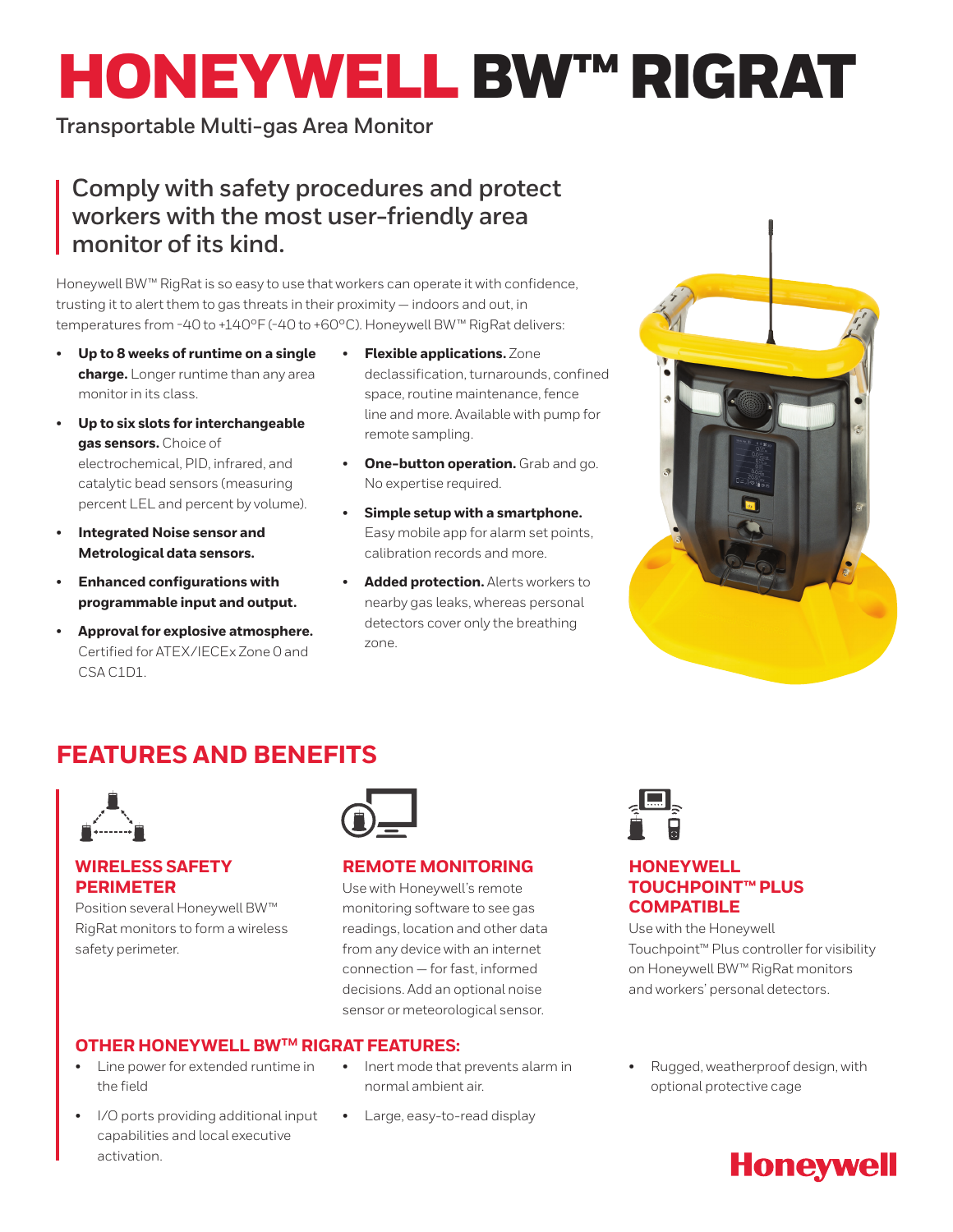# HONEYWELL BW™ RIGRAT

### **Transportable Multi-gas Area Monitor**

## **Comply with safety procedures and protect workers with the most user-friendly area monitor of its kind.**

Honeywell BW™ RigRat is so easy to use that workers can operate it with confidence, trusting it to alert them to gas threats in their proximity — indoors and out, in temperatures from -40 to +140°F (-40 to +60°C). Honeywell BW™ RigRat delivers:

- **Up to 8 weeks of runtime on a single charge.** Longer runtime than any area monitor in its class.
- **Up to six slots for interchangeable gas sensors.** Choice of electrochemical, PID, infrared, and catalytic bead sensors (measuring percent LEL and percent by volume).
- **Integrated Noise sensor and Metrological data sensors.**
- **Enhanced configurations with programmable input and output.**
- **Approval for explosive atmosphere.**  Certified for ATEX/IECEx Zone 0 and CSA C1D1.
- **Flexible applications.** Zone declassification, turnarounds, confined space, routine maintenance, fence line and more. Available with pump for remote sampling.
- **One-button operation.** Grab and go. No expertise required.
- **Simple setup with a smartphone.**  Easy mobile app for alarm set points, calibration records and more.
- **Added protection.** Alerts workers to nearby gas leaks, whereas personal detectors cover only the breathing zone.



## **FEATURES AND BENEFITS**



#### **WIRELESS SAFETY PERIMETER**

Position several Honeywell BW™ RigRat monitors to form a wireless safety perimeter.



#### **REMOTE MONITORING**

Use with Honeywell's remote monitoring software to see gas readings, location and other data from any device with an internet connection — for fast, informed decisions. Add an optional noise sensor or meteorological sensor.



- Line power for extended runtime in the field
- I/O ports providing additional input capabilities and local executive activation.
- Inert mode that prevents alarm in normal ambient air.
- Large, easy-to-read display



#### **HONEYWELL TOUCHPOINT™ PLUS COMPATIBLE**

Use with the Honeywell Touchpoint™ Plus controller for visibility on Honeywell BW™ RigRat monitors and workers' personal detectors.

• Rugged, weatherproof design, with optional protective cage

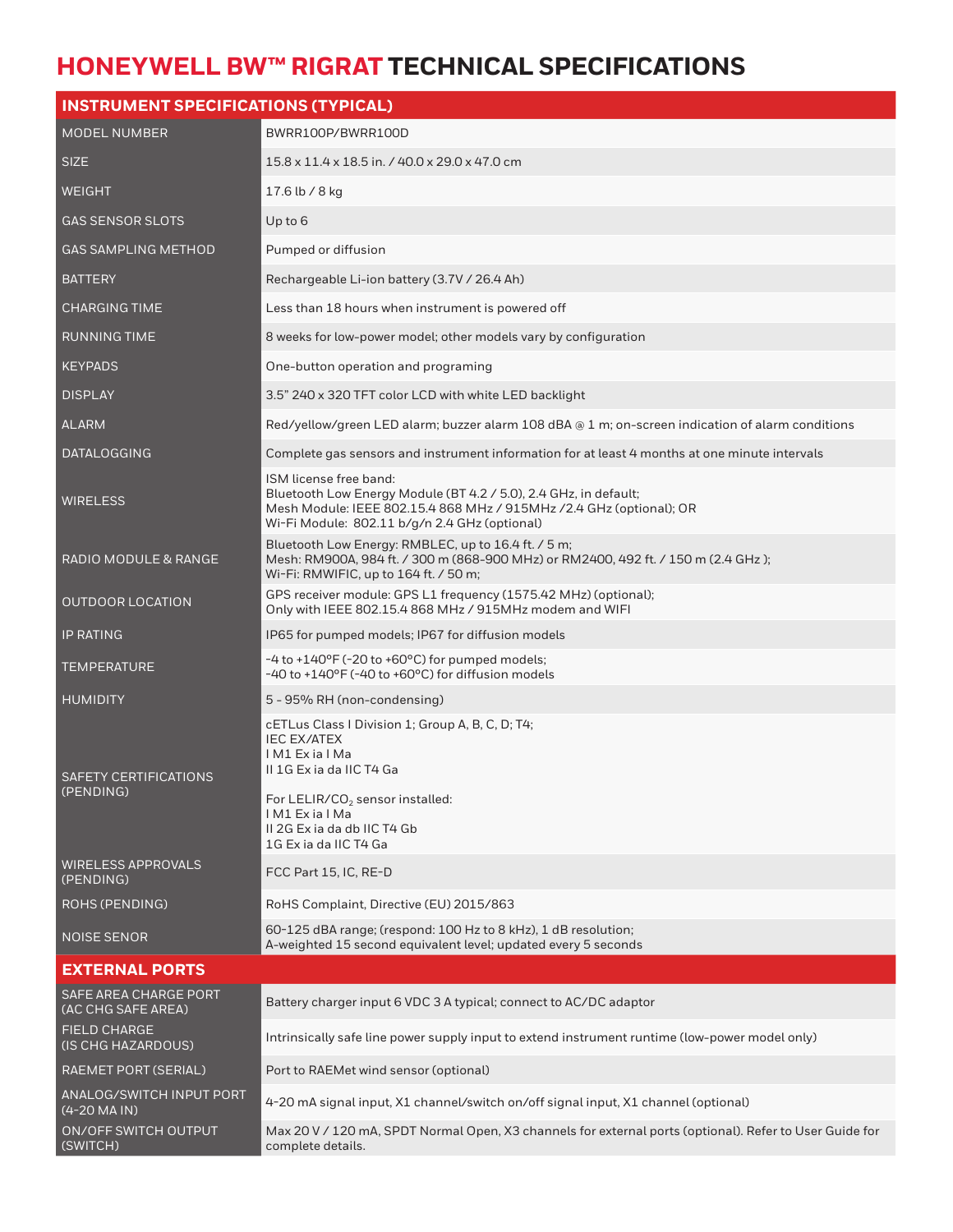## **HONEYWELL BW™ RIGRAT TECHNICAL SPECIFICATIONS**

| <b>INSTRUMENT SPECIFICATIONS (TYPICAL)</b>  |                                                                                                                                                                                                                     |  |  |  |
|---------------------------------------------|---------------------------------------------------------------------------------------------------------------------------------------------------------------------------------------------------------------------|--|--|--|
| <b>MODEL NUMBER</b>                         | BWRR100P/BWRR100D                                                                                                                                                                                                   |  |  |  |
| <b>SIZE</b>                                 | 15.8 x 11.4 x 18.5 in. / 40.0 x 29.0 x 47.0 cm                                                                                                                                                                      |  |  |  |
| WEIGHT                                      | 17.6 lb / 8 kg                                                                                                                                                                                                      |  |  |  |
| <b>GAS SENSOR SLOTS</b>                     | Up to 6                                                                                                                                                                                                             |  |  |  |
| GAS SAMPLING METHOD                         | Pumped or diffusion                                                                                                                                                                                                 |  |  |  |
| <b>BATTERY</b>                              | Rechargeable Li-ion battery (3.7V / 26.4 Ah)                                                                                                                                                                        |  |  |  |
| <b>CHARGING TIME</b>                        | Less than 18 hours when instrument is powered off                                                                                                                                                                   |  |  |  |
| <b>RUNNING TIME</b>                         | 8 weeks for low-power model; other models vary by configuration                                                                                                                                                     |  |  |  |
| <b>KEYPADS</b>                              | One-button operation and programing                                                                                                                                                                                 |  |  |  |
| <b>DISPLAY</b>                              | 3.5" 240 x 320 TFT color LCD with white LED backlight                                                                                                                                                               |  |  |  |
| ALARM                                       | Red/yellow/green LED alarm; buzzer alarm 108 dBA @ 1 m; on-screen indication of alarm conditions                                                                                                                    |  |  |  |
| <b>DATALOGGING</b>                          | Complete gas sensors and instrument information for at least 4 months at one minute intervals                                                                                                                       |  |  |  |
| <b>WIRELESS</b>                             | ISM license free band:<br>Bluetooth Low Energy Module (BT 4.2 / 5.0), 2.4 GHz, in default;<br>Mesh Module: IEEE 802.15.4 868 MHz / 915MHz / 2.4 GHz (optional); OR<br>Wi-Fi Module: 802.11 b/g/n 2.4 GHz (optional) |  |  |  |
| RADIO MODULE & RANGE                        | Bluetooth Low Energy: RMBLEC, up to 16.4 ft. / 5 m;<br>Mesh: RM900A, 984 ft. / 300 m (868-900 MHz) or RM2400, 492 ft. / 150 m (2.4 GHz);<br>Wi-Fi: RMWIFIC, up to 164 ft. / 50 m;                                   |  |  |  |
| <b>OUTDOOR LOCATION</b>                     | GPS receiver module: GPS L1 frequency (1575.42 MHz) (optional);<br>Only with IEEE 802.15.4 868 MHz / 915MHz modem and WIFI                                                                                          |  |  |  |
| <b>IP RATING</b>                            | IP65 for pumped models; IP67 for diffusion models                                                                                                                                                                   |  |  |  |
| <b>TEMPERATURE</b>                          | $-4$ to $+140$ °F ( $-20$ to $+60$ °C) for pumped models;<br>-40 to +140°F (-40 to +60°C) for diffusion models                                                                                                      |  |  |  |
| <b>HUMIDITY</b>                             | 5 - 95% RH (non-condensing)                                                                                                                                                                                         |  |  |  |
| <b>SAFETY CERTIFICATIONS</b><br>(PENDING)   | cETLus Class   Division 1; Group A, B, C, D; T4;<br><b>IEC EX/ATEX</b><br>IM1 ExialMa<br>II 1G Ex ia da IIC T4 Ga                                                                                                   |  |  |  |
|                                             | For LELIR/CO <sub>2</sub> sensor installed:<br>IM1 ExialMa<br>II 2G Ex ia da db IIC T4 Gb<br>1G Ex ia da IIC T4 Ga                                                                                                  |  |  |  |
| <b>WIRELESS APPROVALS</b><br>(PENDING)      | FCC Part 15, IC, RE-D                                                                                                                                                                                               |  |  |  |
| ROHS (PENDING)                              | RoHS Complaint, Directive (EU) 2015/863                                                                                                                                                                             |  |  |  |
| NOISE SENOR                                 | 60-125 dBA range; (respond: 100 Hz to 8 kHz), 1 dB resolution;<br>A-weighted 15 second equivalent level; updated every 5 seconds                                                                                    |  |  |  |
| <b>EXTERNAL PORTS</b>                       |                                                                                                                                                                                                                     |  |  |  |
| SAFE AREA CHARGE PORT<br>(AC CHG SAFE AREA) | Battery charger input 6 VDC 3 A typical; connect to AC/DC adaptor                                                                                                                                                   |  |  |  |
| <b>FIELD CHARGE</b><br>(IS CHG HAZARDOUS)   | Intrinsically safe line power supply input to extend instrument runtime (low-power model only)                                                                                                                      |  |  |  |
| RAEMET PORT (SERIAL)                        | Port to RAEMet wind sensor (optional)                                                                                                                                                                               |  |  |  |
| ANALOG/SWITCH INPUT PORT<br>(4-20 MA IN)    | 4-20 mA signal input, X1 channel/switch on/off signal input, X1 channel (optional)                                                                                                                                  |  |  |  |
| ON/OFF SWITCH OUTPUT<br>(SWITCH)            | Max 20 V / 120 mA, SPDT Normal Open, X3 channels for external ports (optional). Refer to User Guide for<br>complete details.                                                                                        |  |  |  |